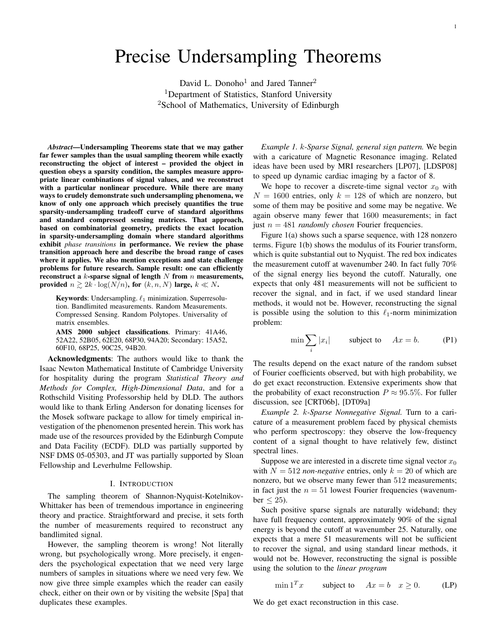# Precise Undersampling Theorems

David L. Donoho<sup>1</sup> and Jared Tanner<sup>2</sup> <sup>1</sup>Department of Statistics, Stanford University <sup>2</sup>School of Mathematics, University of Edinburgh

*Abstract*—Undersampling Theorems state that we may gather far fewer samples than the usual sampling theorem while exactly reconstructing the object of interest – provided the object in question obeys a sparsity condition, the samples measure appropriate linear combinations of signal values, and we reconstruct with a particular nonlinear procedure. While there are many ways to crudely demonstrate such undersampling phenomena, we know of only one approach which precisely quantifies the true sparsity-undersampling tradeoff curve of standard algorithms and standard compressed sensing matrices. That approach, based on combinatorial geometry, predicts the exact location in sparsity-undersampling domain where standard algorithms exhibit *phase transitions* in performance. We review the phase transition approach here and describe the broad range of cases where it applies. We also mention exceptions and state challenge problems for future research. Sample result: one can efficiently reconstruct a  $k$ -sparse signal of length  $N$  from  $n$  measurements, provided  $n \geq 2k \cdot \log(N/n)$ , for  $(k, n, N)$  large,  $k \ll N$ .

Keywords: Undersampling.  $\ell_1$  minimization. Superresolution. Bandlimited measurements. Random Measurements. Compressed Sensing. Random Polytopes. Universality of matrix ensembles.

AMS 2000 subject classifications. Primary: 41A46, 52A22, 52B05, 62E20, 68P30, 94A20; Secondary: 15A52, 60F10, 68P25, 90C25, 94B20.

Acknowledgments: The authors would like to thank the Isaac Newton Mathematical Institute of Cambridge University for hospitality during the program *Statistical Theory and Methods for Complex, High-Dimensional Data*, and for a Rothschild Visiting Professorship held by DLD. The authors would like to thank Erling Anderson for donating licenses for the Mosek software package to allow for timely empirical investigation of the phenomenon presented herein. This work has made use of the resources provided by the Edinburgh Compute and Data Facility (ECDF). DLD was partially supported by NSF DMS 05-05303, and JT was partially supported by Sloan Fellowship and Leverhulme Fellowship.

# I. INTRODUCTION

The sampling theorem of Shannon-Nyquist-Kotelnikov-Whittaker has been of tremendous importance in engineering theory and practice. Straightforward and precise, it sets forth the number of measurements required to reconstruct any bandlimited signal.

However, the sampling theorem is wrong! Not literally wrong, but psychologically wrong. More precisely, it engenders the psychological expectation that we need very large numbers of samples in situations where we need very few. We now give three simple examples which the reader can easily check, either on their own or by visiting the website [Spa] that duplicates these examples.

*Example 1.* k*-Sparse Signal, general sign pattern.* We begin with a caricature of Magnetic Resonance imaging. Related ideas have been used by MRI researchers [LP07], [LDSP08] to speed up dynamic cardiac imaging by a factor of 8.

We hope to recover a discrete-time signal vector  $x_0$  with  $N = 1600$  entries, only  $k = 128$  of which are nonzero, but some of them may be positive and some may be negative. We again observe many fewer that 1600 measurements; in fact just  $n = 481$  *randomly chosen* Fourier frequencies.

Figure 1(a) shows such a sparse sequence, with 128 nonzero terms. Figure 1(b) shows the modulus of its Fourier transform, which is quite substantial out to Nyquist. The red box indicates the measurement cutoff at wavenumber 240. In fact fully 70% of the signal energy lies beyond the cutoff. Naturally, one expects that only 481 measurements will not be sufficient to recover the signal, and in fact, if we used standard linear methods, it would not be. However, reconstructing the signal is possible using the solution to this  $\ell_1$ -norm minimization problem:

$$
\min \sum_{i} |x_i| \qquad \text{subject to} \quad Ax = b. \tag{P1}
$$

The results depend on the exact nature of the random subset of Fourier coefficients observed, but with high probability, we do get exact reconstruction. Extensive experiments show that the probability of exact reconstruction  $P \approx 95.5\%$ . For fuller discussion, see [CRT06b], [DT09a]

*Example 2.* k*-Sparse Nonnegative Signal.* Turn to a caricature of a measurement problem faced by physical chemists who perform spectroscopy: they observe the low-frequency content of a signal thought to have relatively few, distinct spectral lines.

Suppose we are interested in a discrete time signal vector  $x_0$ with  $N = 512$  *non-negative* entries, only  $k = 20$  of which are nonzero, but we observe many fewer than 512 measurements; in fact just the  $n = 51$  lowest Fourier frequencies (wavenumber  $\leq$  25).

Such positive sparse signals are naturally wideband; they have full frequency content, approximately 90% of the signal energy is beyond the cutoff at wavenumber 25. Naturally, one expects that a mere 51 measurements will not be sufficient to recover the signal, and using standard linear methods, it would not be. However, reconstructing the signal is possible using the solution to the *linear program*

$$
\min \mathbf{1}^T x \qquad \text{subject to} \qquad Ax = b \quad x \ge 0. \tag{LP}
$$

We do get exact reconstruction in this case.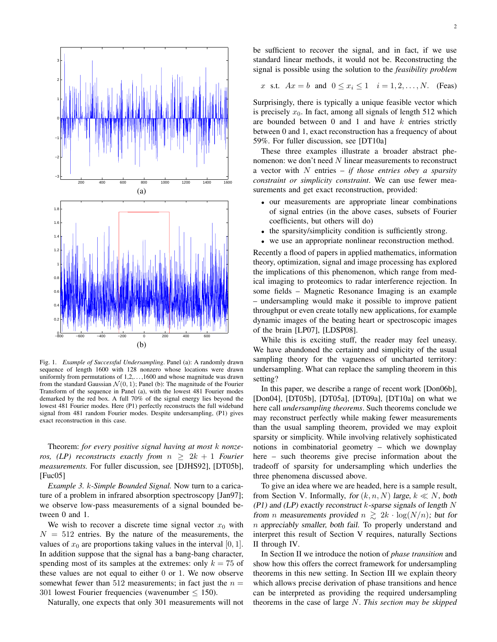

Fig. 1. *Example of Successful Undersampling*. Panel (a): A randomly drawn sequence of length 1600 with 128 nonzero whose locations were drawn uniformly from permutations of  $1, 2, \ldots, 1600$  and whose magnitude was drawn from the standard Gaussian  $\mathcal{N}(0, 1)$ ; Panel (b): The magnitude of the Fourier Transform of the sequence in Panel (a), with the lowest 481 Fourier modes demarked by the red box. A full 70% of the signal energy lies beyond the lowest 481 Fourier modes. Here (P1) perfectly reconstructs the full wideband signal from 481 random Fourier modes. Despite undersampling, (P1) gives exact reconstruction in this case.

Theorem: *for every positive signal having at most* k *nonzeros, (LP) reconstructs exactly from*  $n \geq 2k + 1$  *Fourier measurements.* For fuller discussion, see [DJHS92], [DT05b], [Fuc05]

*Example 3.* k*-Simple Bounded Signal.* Now turn to a caricature of a problem in infrared absorption spectroscopy [Jan97]; we observe low-pass measurements of a signal bounded between 0 and 1.

We wish to recover a discrete time signal vector  $x_0$  with  $N = 512$  entries. By the nature of the measurements, the values of  $x_0$  are proportions taking values in the interval [0, 1]. In addition suppose that the signal has a bang-bang character, spending most of its samples at the extremes: only  $k = 75$  of these values are not equal to either 0 or 1. We now observe somewhat fewer than 512 measurements; in fact just the  $n =$ 301 lowest Fourier frequencies (wavenumber  $\leq$  150).

Naturally, one expects that only 301 measurements will not

be sufficient to recover the signal, and in fact, if we use standard linear methods, it would not be. Reconstructing the signal is possible using the solution to the *feasibility problem*

x s.t. 
$$
Ax = b
$$
 and  $0 \le x_i \le 1$   $i = 1, 2, ..., N$ . (Feas)

Surprisingly, there is typically a unique feasible vector which is precisely  $x_0$ . In fact, among all signals of length 512 which are bounded between  $0$  and  $1$  and have  $k$  entries strictly between 0 and 1, exact reconstruction has a frequency of about 59%. For fuller discussion, see [DT10a]

These three examples illustrate a broader abstract phenomenon: we don't need N linear measurements to reconstruct a vector with N entries – *if those entries obey a sparsity constraint or simplicity constraint*. We can use fewer measurements and get exact reconstruction, provided:

- our measurements are appropriate linear combinations of signal entries (in the above cases, subsets of Fourier coefficients, but others will do)
- the sparsity/simplicity condition is sufficiently strong.
- we use an appropriate nonlinear reconstruction method.

Recently a flood of papers in applied mathematics, information theory, optimization, signal and image processing has explored the implications of this phenomenon, which range from medical imaging to proteomics to radar interference rejection. In some fields – Magnetic Resonance Imaging is an example – undersampling would make it possible to improve patient throughput or even create totally new applications, for example dynamic images of the beating heart or spectroscopic images of the brain [LP07], [LDSP08].

While this is exciting stuff, the reader may feel uneasy. We have abandoned the certainty and simplicity of the usual sampling theory for the vagueness of uncharted territory: undersampling. What can replace the sampling theorem in this setting?

In this paper, we describe a range of recent work [Don06b], [Don04], [DT05b], [DT05a], [DT09a], [DT10a] on what we here call *undersampling theorems*. Such theorems conclude we may reconstruct perfectly while making fewer measurements than the usual sampling theorem, provided we may exploit sparsity or simplicity. While involving relatively sophisticated notions in combinatorial geometry – which we downplay here – such theorems give precise information about the tradeoff of sparsity for undersampling which underlies the three phenomena discussed above.

To give an idea where we are headed, here is a sample result, from Section V. Informally, for  $(k, n, N)$  large,  $k \ll N$ , both (P1) and (LP) exactly reconstruct  $k$ -sparse signals of length  $N$ from *n* measurements provided  $n \geq 2k \cdot \log(N/n)$ ; but for n appreciably smaller, both fail. To properly understand and interpret this result of Section V requires, naturally Sections II through IV.

In Section II we introduce the notion of *phase transition* and show how this offers the correct framework for undersampling theorems in this new setting. In Section III we explain theory which allows precise derivation of phase transitions and hence can be interpreted as providing the required undersampling theorems in the case of large N. *This section may be skipped*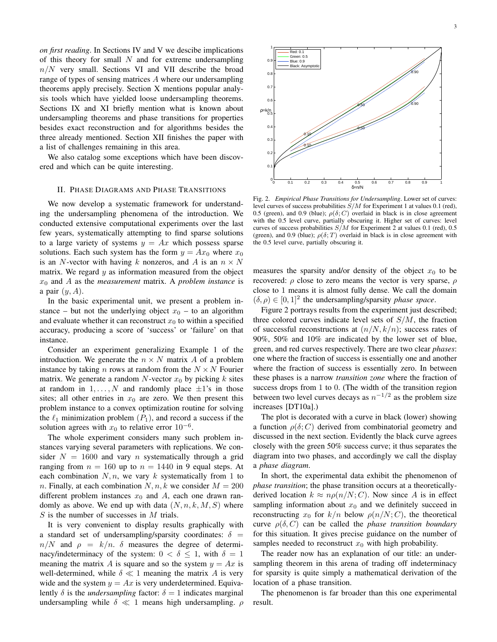*on first reading*. In Sections IV and V we descibe implications of this theory for small  $N$  and for extreme undersampling  $n/N$  very small. Sections VI and VII describe the broad range of types of sensing matrices A where our undersampling theorems apply precisely. Section X mentions popular analysis tools which have yielded loose undersampling theorems. Sections IX and XI briefly mention what is known about undersampling theorems and phase transitions for properties besides exact reconstruction and for algorithms besides the three already mentioned. Section XII finishes the paper with a list of challenges remaining in this area.

We also catalog some exceptions which have been discovered and which can be quite interesting.

# II. PHASE DIAGRAMS AND PHASE TRANSITIONS

We now develop a systematic framework for understanding the undersampling phenomena of the introduction. We conducted extensive computational experiments over the last few years, systematically attempting to find sparse solutions to a large variety of systems  $y = Ax$  which possess sparse solutions. Each such system has the form  $y = Ax_0$  where  $x_0$ is an N-vector with having k nonzeros, and A is an  $n \times N$ matrix. We regard  $y$  as information measured from the object  $x_0$  and A as the *measurement* matrix. A *problem instance* is a pair  $(y, A)$ .

In the basic experimental unit, we present a problem instance – but not the underlying object  $x_0$  – to an algorithm and evaluate whether it can reconstruct  $x_0$  to within a specified accuracy, producing a score of 'success' or 'failure' on that instance.

Consider an experiment generalizing Example 1 of the introduction. We generate the  $n \times N$  matrix A of a problem instance by taking *n* rows at random from the  $N \times N$  Fourier matrix. We generate a random N-vector  $x_0$  by picking k sites at random in  $1, \ldots, N$  and randomly place  $\pm 1$ 's in those sites; all other entries in  $x_0$  are zero. We then present this problem instance to a convex optimization routine for solving the  $\ell_1$  minimization problem  $(P_1)$ , and record a success if the solution agrees with  $x_0$  to relative error  $10^{-6}$ .

The whole experiment considers many such problem instances varying several parameters with replications. We consider  $N = 1600$  and vary *n* systematically through a grid ranging from  $n = 160$  up to  $n = 1440$  in 9 equal steps. At each combination  $N, n$ , we vary k systematically from 1 to *n*. Finally, at each combination  $N, n, k$  we consider  $M = 200$ different problem instances  $x_0$  and A, each one drawn randomly as above. We end up with data  $(N, n, k, M, S)$  where  $S$  is the number of successes in  $M$  trials.

It is very convenient to display results graphically with a standard set of undersampling/sparsity coordinates:  $\delta$  =  $n/N$  and  $\rho = k/n$ .  $\delta$  measures the degree of determinacy/indeterminacy of the system:  $0 < \delta \leq 1$ , with  $\delta = 1$ meaning the matrix A is square and so the system  $y = Ax$  is well-determined, while  $\delta \ll 1$  meaning the matrix A is very wide and the system  $y = Ax$  is very underdetermined. Equivalently  $\delta$  is the *undersampling* factor:  $\delta = 1$  indicates marginal undersampling while  $\delta \ll 1$  means high undersampling.  $\rho$ 



Fig. 2. *Empirical Phase Transitions for Undersampling*. Lower set of curves: level curves of success probabilities  $S/M$  for Experiment 1 at values 0.1 (red), 0.5 (green), and 0.9 (blue);  $\rho(\delta; C)$  overlaid in black is in close agreement with the 0.5 level curve, partially obscuring it. Higher set of curves: level curves of success probabilities  $S/M$  for Experiment 2 at values 0.1 (red), 0.5 (green), and 0.9 (blue);  $\rho(\delta;T)$  overlaid in black is in close agreement with the 0.5 level curve, partially obscuring it.

measures the sparsity and/or density of the object  $x_0$  to be recovered:  $\rho$  close to zero means the vector is very sparse,  $\rho$ close to 1 means it is almost fully dense. We call the domain  $(\delta, \rho) \in [0, 1]^2$  the undersampling/sparsity *phase space*.

Figure 2 portrays results from the experiment just described; three colored curves indicate level sets of  $S/M$ , the fraction of successful reconstructions at  $(n/N, k/n)$ ; success rates of 90%, 50% and 10% are indicated by the lower set of blue, green, and red curves respectively. There are two clear *phases*: one where the fraction of success is essentially one and another where the fraction of success is essentially zero. In between these phases is a narrow *transition zone* where the fraction of success drops from 1 to 0. (The width of the transition region between two level curves decays as  $n^{-1/2}$  as the problem size increases [DT10a].)

The plot is decorated with a curve in black (lower) showing a function  $\rho(\delta; C)$  derived from combinatorial geometry and discussed in the next section. Evidently the black curve agrees closely with the green 50% success curve; it thus separates the diagram into two phases, and accordingly we call the display a *phase diagram*.

In short, the experimental data exhibit the phenomenon of *phase transition*; the phase transition occurs at a theoreticallyderived location  $k \approx n \rho(n/N; C)$ . Now since A is in effect sampling information about  $x_0$  and we definitely succeed in reconstructing  $x_0$  for  $k/n$  below  $\rho(n/N; C)$ , the theoretical curve ρ(δ, C) can be called the *phase transition boundary* for this situation. It gives precise guidance on the number of samples needed to reconstruct  $x_0$  with high probability.

The reader now has an explanation of our title: an undersampling theorem in this arena of trading off indeterminacy for sparsity is quite simply a mathematical derivation of the location of a phase transition.

The phenomenon is far broader than this one experimental result.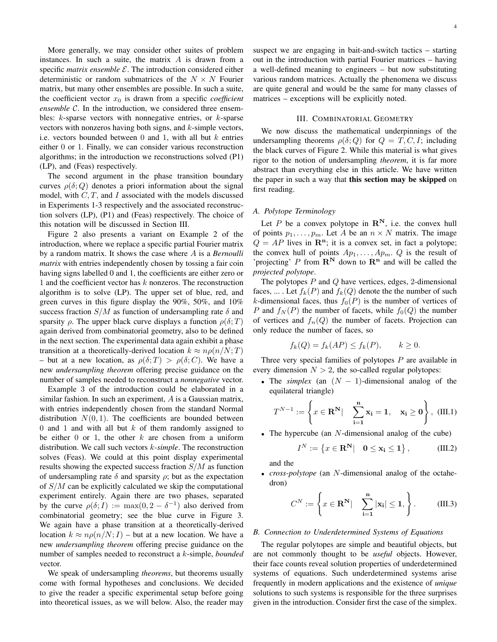More generally, we may consider other suites of problem instances. In such a suite, the matrix  $A$  is drawn from a specific *matrix ensemble*  $\mathcal{E}$ . The introduction considered either deterministic or random submatrices of the  $N \times N$  Fourier matrix, but many other ensembles are possible. In such a suite, the coefficient vector  $x_0$  is drawn from a specific *coefficient ensemble* C. In the introduction, we considered three ensembles:  $k$ -sparse vectors with nonnegative entries, or  $k$ -sparse vectors with nonzeros having both signs, and  $k$ -simple vectors, i.e. vectors bounded between  $0$  and  $1$ , with all but  $k$  entries either 0 or 1. Finally, we can consider various reconstruction algorithms; in the introduction we reconstructions solved (P1) (LP), and (Feas) respectively.

The second argument in the phase transition boundary curves  $\rho(\delta; Q)$  denotes a priori information about the signal model, with  $C, T$ , and  $I$  associated with the models discussed in Experiments 1-3 respectively and the associated reconstruction solvers (LP), (P1) and (Feas) respectively. The choice of this notation will be discussed in Section III.

Figure 2 also presents a variant on Example 2 of the introduction, where we replace a specific partial Fourier matrix by a random matrix. It shows the case where A is a *Bernoulli matrix* with entries independently chosen by tossing a fair coin having signs labelled 0 and 1, the coefficients are either zero or 1 and the coefficient vector has k nonzeros. The reconstruction algorithm is to solve (LP). The upper set of blue, red, and green curves in this figure display the 90%, 50%, and 10% success fraction  $S/M$  as function of undersampling rate  $\delta$  and sparsity  $\rho$ . The upper black curve displays a function  $\rho(\delta;T)$ again derived from combinatorial geometry, also to be defined in the next section. The experimental data again exhibit a phase transition at a theoretically-derived location  $k \approx n \rho(n/N;T)$ – but at a new location, as  $\rho(\delta;T) > \rho(\delta;C)$ . We have a new *undersampling theorem* offering precise guidance on the number of samples needed to reconstruct a *nonnegative* vector.

Example 3 of the introduction could be elaborated in a similar fashion. In such an experiment, A is a Gaussian matrix, with entries independently chosen from the standard Normal distribution  $N(0, 1)$ . The coefficients are bounded between 0 and 1 and with all but  $k$  of them randomly assigned to be either  $0$  or  $1$ , the other  $k$  are chosen from a uniform distribution. We call such vectors k*-simple*. The reconstruction solves (Feas). We could at this point display experimental results showing the expected success fraction  $S/M$  as function of undersampling rate  $\delta$  and sparsity  $\rho$ ; but as the expectation of  $S/M$  can be explicitly calculated we skip the computational experiment entirely. Again there are two phases, separated by the curve  $\rho(\delta; I) := \max(0, 2 - \delta^{-1})$  also derived from combinatorial geometry; see the blue curve in Figure 3. We again have a phase transition at a theoretically-derived location  $k \approx n \rho(n/N; I)$  – but at a new location. We have a new *undersampling theorem* offering precise guidance on the number of samples needed to reconstruct a k-simple, *bounded* vector.

We speak of undersampling *theorems*, but theorems usually come with formal hypotheses and conclusions. We decided to give the reader a specific experimental setup before going into theoretical issues, as we will below. Also, the reader may suspect we are engaging in bait-and-switch tactics – starting out in the introduction with partial Fourier matrices – having a well-defined meaning to engineers – but now substituting various random matrices. Actually the phenomena we discuss are quite general and would be the same for many classes of matrices – exceptions will be explicitly noted.

## III. COMBINATORIAL GEOMETRY

We now discuss the mathematical underpinnings of the undersampling theorems  $\rho(\delta; Q)$  for  $Q = T, C, I$ ; including the black curves of Figure 2. While this material is what gives rigor to the notion of undersampling *theorem*, it is far more abstract than everything else in this article. We have written the paper in such a way that this section may be skipped on first reading.

#### *A. Polytope Terminology*

Let P be a convex polytope in  $\mathbb{R}^{N}$ , i.e. the convex hull of points  $p_1, \ldots, p_m$ . Let A be an  $n \times N$  matrix. The image  $Q = AP$  lives in  $\mathbb{R}^n$ ; it is a convex set, in fact a polytope; the convex hull of points  $Ap_1, \ldots, Ap_m$ . Q is the result of 'projecting' P from  $\mathbb{R}^N$  down to  $\mathbb{R}^n$  and will be called the *projected polytope*.

The polytopes  $P$  and  $Q$  have vertices, edges, 2-dimensional faces, ... . Let  $f_k(P)$  and  $f_k(Q)$  denote the the number of such k-dimensional faces, thus  $f_0(P)$  is the number of vertices of P and  $f_N(P)$  the number of facets, while  $f_0(Q)$  the number of vertices and  $f_n(Q)$  the number of facets. Projection can only reduce the number of faces, so

$$
f_k(Q) = f_k(AP) \le f_k(P), \qquad k \ge 0.
$$

Three very special families of polytopes  $P$  are available in every dimension  $N > 2$ , the so-called regular polytopes:

• The *simplex* (an  $(N - 1)$ -dimensional analog of the equilateral triangle)

$$
T^{N-1} := \left\{ x \in \mathbf{R}^{\mathbf{N}} \big| \quad \sum_{i=1}^{\mathbf{n}} \mathbf{x}_i = 1, \quad \mathbf{x}_i \ge \mathbf{0} \right\}, \quad (III.1)
$$

• The hypercube (an  $N$ -dimensional analog of the cube)

$$
I^N := \left\{ x \in \mathbf{R}^\mathbf{N} \middle| \quad 0 \le \mathbf{x_i} \le 1 \right\},\tag{III.2}
$$

and the

• *cross-polytope* (an N-dimensional analog of the octahedron)

$$
C^{N} := \left\{ x \in \mathbf{R}^{\mathbf{N}} \big| \quad \sum_{i=1}^{\mathbf{n}} |\mathbf{x}_{i}| \leq 1, \right\}.
$$
 (III.3)

#### *B. Connection to Underdetermined Systems of Equations*

The regular polytopes are simple and beautiful objects, but are not commonly thought to be *useful* objects. However, their face counts reveal solution properties of underdetermined systems of equations. Such underdetermined systems arise frequently in modern applications and the existence of *unique* solutions to such systems is responsible for the three surprises given in the introduction. Consider first the case of the simplex.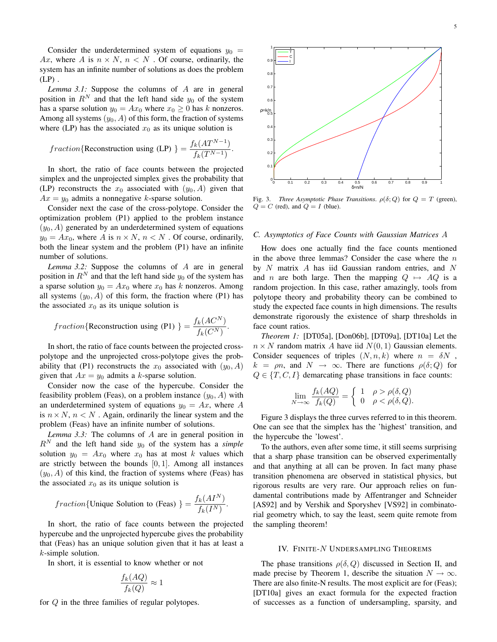Consider the underdetermined system of equations  $y_0$  = Ax, where A is  $n \times N$ ,  $n \leq N$ . Of course, ordinarily, the system has an infinite number of solutions as does the problem  $(LP)$ .

*Lemma 3.1:* Suppose the columns of A are in general position in  $R^N$  and that the left hand side  $y_0$  of the system has a sparse solution  $y_0 = Ax_0$  where  $x_0 \ge 0$  has k nonzeros. Among all systems  $(y_0, A)$  of this form, the fraction of systems where (LP) has the associated  $x_0$  as its unique solution is

$$
fraction \{ \text{Reconstruction using (LP)} \} = \frac{f_k(AT^{N-1})}{f_k(T^{N-1})}.
$$

In short, the ratio of face counts between the projected simplex and the unprojected simplex gives the probability that (LP) reconstructs the  $x_0$  associated with  $(y_0, A)$  given that  $Ax = y_0$  admits a nonnegative k-sparse solution.

Consider next the case of the cross-polytope. Consider the optimization problem (P1) applied to the problem instance  $(y_0, A)$  generated by an underdetermined system of equations  $y_0 = Ax_0$ , where A is  $n \times N$ ,  $n \times N$ . Of course, ordinarily, both the linear system and the problem (P1) have an infinite number of solutions.

*Lemma 3.2:* Suppose the columns of A are in general position in  $R^N$  and that the left hand side  $y_0$  of the system has a sparse solution  $y_0 = Ax_0$  where  $x_0$  has k nonzeros. Among all systems  $(y_0, A)$  of this form, the fraction where (P1) has the associated  $x_0$  as its unique solution is

$$
fraction\{\text{Reconstruction using (P1)}\} = \frac{f_k(AC^N)}{f_k(C^N)}.
$$

In short, the ratio of face counts between the projected crosspolytope and the unprojected cross-polytope gives the probability that (P1) reconstructs the  $x_0$  associated with  $(y_0, A)$ given that  $Ax = y_0$  admits a k-sparse solution.

Consider now the case of the hypercube. Consider the feasibility problem (Feas), on a problem instance  $(y_0, A)$  with an underdetermined system of equations  $y_0 = Ax$ , where A is  $n \times N$ ,  $n \times N$ . Again, ordinarily the linear system and the problem (Feas) have an infinite number of solutions.

*Lemma 3.3:* The columns of A are in general position in  $R^N$  and the left hand side  $y_0$  of the system has a *simple* solution  $y_0 = Ax_0$  where  $x_0$  has at most k values which are strictly between the bounds  $[0, 1]$ . Among all instances  $(y_0, A)$  of this kind, the fraction of systems where (Feas) has the associated  $x_0$  as its unique solution is

$$
fraction{Unique Solution to (Feas)} = \frac{f_k(AI^N)}{f_k(I^N)}.
$$

In short, the ratio of face counts between the projected hypercube and the unprojected hypercube gives the probability that (Feas) has an unique solution given that it has at least a k-simple solution.

In short, it is essential to know whether or not

$$
\frac{f_k(AQ)}{f_k(Q)} \approx 1
$$

for Q in the three families of regular polytopes.



Fig. 3. *Three Asymptotic Phase Transitions.*  $\rho(\delta; Q)$  for  $Q = T$  (green),  $Q = C$  (red), and  $Q = I$  (blue).

#### *C. Asymptotics of Face Counts with Gaussian Matrices* A

How does one actually find the face counts mentioned in the above three lemmas? Consider the case where the  $n$ by  $N$  matrix  $A$  has iid Gaussian random entries, and  $N$ and n are both large. Then the mapping  $Q \mapsto AQ$  is a random projection. In this case, rather amazingly, tools from polytope theory and probability theory can be combined to study the expected face counts in high dimensions. The results demonstrate rigorously the existence of sharp thresholds in face count ratios.

*Theorem 1:* [DT05a], [Don06b], [DT09a], [DT10a] Let the  $n \times N$  random matrix A have iid  $N(0, 1)$  Gaussian elements. Consider sequences of triples  $(N, n, k)$  where  $n = \delta N$ ,  $k = \rho n$ , and  $N \rightarrow \infty$ . There are functions  $\rho(\delta; Q)$  for  $Q \in \{T, C, I\}$  demarcating phase transitions in face counts:

$$
\lim_{N \to \infty} \frac{f_k(AQ)}{f_k(Q)} = \begin{cases} 1 & \rho > \rho(\delta, Q) \\ 0 & \rho < \rho(\delta, Q). \end{cases}
$$

Figure 3 displays the three curves referred to in this theorem. One can see that the simplex has the 'highest' transition, and the hypercube the 'lowest'.

To the authors, even after some time, it still seems surprising that a sharp phase transition can be observed experimentally and that anything at all can be proven. In fact many phase transition phenomena are observed in statistical physics, but rigorous results are very rare. Our approach relies on fundamental contributions made by Affentranger and Schneider [AS92] and by Vershik and Sporyshev [VS92] in combinatorial geometry which, to say the least, seem quite remote from the sampling theorem!

## IV. FINITE-N UNDERSAMPLING THEOREMS

The phase transitions  $\rho(\delta, Q)$  discussed in Section II, and made precise by Theorem 1, describe the situation  $N \to \infty$ . There are also finite-N results. The most explicit are for (Feas); [DT10a] gives an exact formula for the expected fraction of successes as a function of undersampling, sparsity, and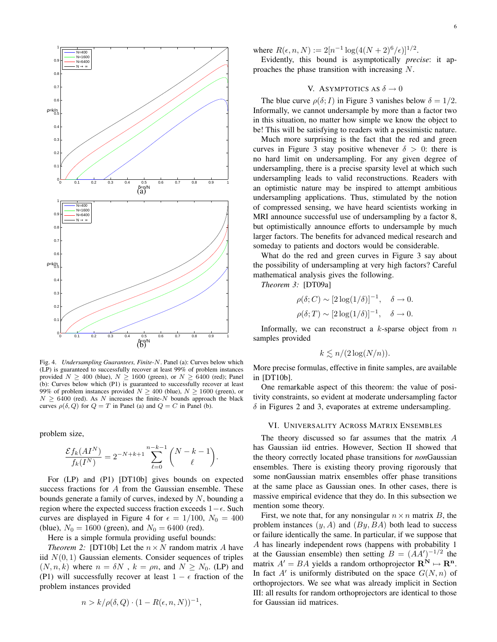

Fig. 4. *Undersampling Guarantees, Finite-*N. Panel (a): Curves below which (LP) is guaranteed to successfully recover at least 99% of problem instances provided  $N > 400$  (blue),  $N > 1600$  (green), or  $N > 6400$  (red); Panel (b): Curves below which (P1) is guaranteed to successfully recover at least 99% of problem instances provided  $N \ge 400$  (blue),  $N \ge 1600$  (green), or  $N > 6400$  (red). As N increases the finite-N bounds approach the black curves  $\rho(\delta, Q)$  for  $Q = T$  in Panel (a) and  $Q = C$  in Panel (b).

problem size,

$$
\frac{\mathcal{E} f_k( A I^N )}{f_k(I^N )} = 2^{-N+k+1} \sum_{\ell = 0}^{n-k-1} \binom{N-k-1}{\ell}.
$$

For (LP) and (P1) [DT10b] gives bounds on expected success fractions for A from the Gaussian ensemble. These bounds generate a family of curves, indexed by  $N$ , bounding a region where the expected success fraction exceeds  $1-\epsilon$ . Such curves are displayed in Figure 4 for  $\epsilon = 1/100$ ,  $N_0 = 400$ (blue),  $N_0 = 1600$  (green), and  $N_0 = 6400$  (red).

Here is a simple formula providing useful bounds:

*Theorem 2:* [DT10b] Let the  $n \times N$  random matrix A have iid  $N(0, 1)$  Gaussian elements. Consider sequences of triples  $(N, n, k)$  where  $n = \delta N$ ,  $k = \rho n$ , and  $N \ge N_0$ . (LP) and (P1) will successfully recover at least  $1 - \epsilon$  fraction of the problem instances provided

$$
n > k/\rho(\delta, Q) \cdot (1 - R(\epsilon, n, N))^{-1},
$$

where  $R(\epsilon, n, N) := 2[n^{-1} \log(4(N+2)^6/\epsilon)]^{1/2}$ .

Evidently, this bound is asymptotically *precise*: it approaches the phase transition with increasing N.

# V. ASYMPTOTICS AS  $\delta \to 0$

The blue curve  $\rho(\delta; I)$  in Figure 3 vanishes below  $\delta = 1/2$ . Informally, we cannot undersample by more than a factor two in this situation, no matter how simple we know the object to be! This will be satisfying to readers with a pessimistic nature.

Much more surprising is the fact that the red and green curves in Figure 3 stay positive whenever  $\delta > 0$ : there is no hard limit on undersampling. For any given degree of undersampling, there is a precise sparsity level at which such undersampling leads to valid reconstructions. Readers with an optimistic nature may be inspired to attempt ambitious undersampling applications. Thus, stimulated by the notion of compressed sensing, we have heard scientists working in MRI announce successful use of undersampling by a factor 8, but optimistically announce efforts to undersample by much larger factors. The benefits for advanced medical research and someday to patients and doctors would be considerable.

What do the red and green curves in Figure 3 say about the possibility of undersampling at very high factors? Careful mathematical analysis gives the following.

*Theorem 3:* [DT09a]

$$
\rho(\delta; C) \sim [2\log(1/\delta)]^{-1}, \quad \delta \to 0.
$$
  

$$
\rho(\delta; T) \sim [2\log(1/\delta)]^{-1}, \quad \delta \to 0.
$$

Informally, we can reconstruct a  $k$ -sparse object from  $n$ samples provided

$$
k \lesssim n/(2\log(N/n)).
$$

More precise formulas, effective in finite samples, are available in [DT10b].

One remarkable aspect of this theorem: the value of positivity constraints, so evident at moderate undersampling factor  $\delta$  in Figures 2 and 3, evaporates at extreme undersampling.

## VI. UNIVERSALITY ACROSS MATRIX ENSEMBLES

The theory discussed so far assumes that the matrix A has Gaussian iid entries. However, Section II showed that the theory correctly located phase transitions for *non*Gaussian ensembles. There is existing theory proving rigorously that some nonGaussian matrix ensembles offer phase transitions at the same place as Gaussian ones. In other cases, there is massive empirical evidence that they do. In this subsection we mention some theory.

First, we note that, for any nonsingular  $n \times n$  matrix B, the problem instances  $(y, A)$  and  $(By, BA)$  both lead to success or failure identically the same. In particular, if we suppose that A has linearly independent rows (happens with probability 1 at the Gaussian ensemble) then setting  $B = (AA')^{-1/2}$  the matrix  $A' = BA$  yields a random orthoprojector  $\mathbf{R}^N \mapsto \mathbf{R}^n$ . In fact  $A'$  is uniformly distributed on the space  $G(N, n)$  of orthoprojectors. We see what was already implicit in Section III: all results for random orthoprojectors are identical to those for Gaussian iid matrices.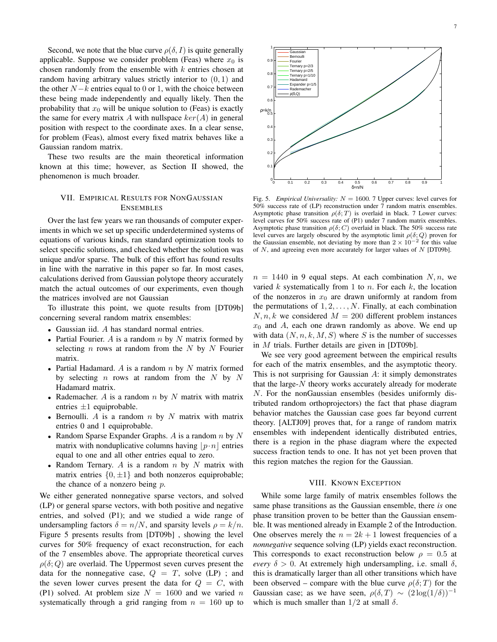Second, we note that the blue curve  $\rho(\delta, I)$  is quite generally applicable. Suppose we consider problem (Feas) where  $x_0$  is chosen randomly from the ensemble with  $k$  entries chosen at random having arbitrary values strictly interior to  $(0, 1)$  and the other  $N-k$  entries equal to 0 or 1, with the choice between these being made independently and equally likely. Then the probability that  $x_0$  will be unique solution to (Feas) is exactly the same for every matrix A with nullspace  $ker(A)$  in general position with respect to the coordinate axes. In a clear sense, for problem (Feas), almost every fixed matrix behaves like a Gaussian random matrix.

These two results are the main theoretical information known at this time; however, as Section II showed, the phenomenon is much broader.

# VII. EMPIRICAL RESULTS FOR NONGAUSSIAN ENSEMBLES

Over the last few years we ran thousands of computer experiments in which we set up specific underdetermined systems of equations of various kinds, ran standard optimization tools to select specific solutions, and checked whether the solution was unique and/or sparse. The bulk of this effort has found results in line with the narrative in this paper so far. In most cases, calculations derived from Gaussian polytope theory accurately match the actual outcomes of our experiments, even though the matrices involved are not Gaussian

To illustrate this point, we quote results from [DT09b] concerning several random matrix ensembles:

- Gaussian iid. A has standard normal entries.
- Partial Fourier. A is a random  $n$  by  $N$  matrix formed by selecting  $n$  rows at random from the  $N$  by  $N$  Fourier matrix.
- Partial Hadamard. A is a random  $n$  by  $N$  matrix formed by selecting  $n$  rows at random from the  $N$  by  $N$ Hadamard matrix.
- Rademacher. A is a random  $n$  by  $N$  matrix with matrix entries  $\pm 1$  equiprobable.
- Bernoulli. A is a random  $n$  by  $N$  matrix with matrix entries 0 and 1 equiprobable.
- Random Sparse Expander Graphs. A is a random  $n$  by  $N$ matrix with nonduplicative columns having  $|p \cdot n|$  entries equal to one and all other entries equal to zero.
- Random Ternary. A is a random  $n$  by  $N$  matrix with matrix entries  $\{0, \pm 1\}$  and both nonzeros equiprobable; the chance of a nonzero being  $p$ .

We either generated nonnegative sparse vectors, and solved (LP) or general sparse vectors, with both positive and negative entries, and solved (P1); and we studied a wide range of undersampling factors  $\delta = n/N$ , and sparsity levels  $\rho = k/n$ . Figure 5 presents results from [DT09b] , showing the level curves for 50% frequency of exact reconstruction, for each of the 7 ensembles above. The appropriate theoretical curves  $\rho(\delta; Q)$  are overlaid. The Uppermost seven curves present the data for the nonnegative case,  $Q = T$ , solve (LP); and the seven lower curves present the data for  $Q = C$ , with (P1) solved. At problem size  $N = 1600$  and we varied n systematically through a grid ranging from  $n = 160$  up to



Fig. 5. *Empirical Universality:*  $N = 1600$ . 7 Upper curves: level curves for 50% success rate of (LP) reconstruction under 7 random matrix ensembles. Asymptotic phase transition  $\rho(\delta;T)$  is overlaid in black. 7 Lower curves: level curves for 50% success rate of (P1) under 7 random matrix ensembles. Asymptotic phase transition  $\rho(\delta; C)$  overlaid in black. The 50% success rate level curves are largely obscured by the asymptotic limit  $\rho(\delta; Q)$  proven for the Gaussian ensemble, not deviating by more than  $2 \times 10^{-2}$  for this value of  $N$ , and agreeing even more accurately for larger values of  $N$  [DT09b].

 $n = 1440$  in 9 equal steps. At each combination N, n, we varied  $k$  systematically from 1 to  $n$ . For each  $k$ , the location of the nonzeros in  $x_0$  are drawn uniformly at random from the permutations of  $1, 2, \ldots, N$ . Finally, at each combination  $N, n, k$  we considered  $M = 200$  different problem instances  $x_0$  and A, each one drawn randomly as above. We end up with data  $(N, n, k, M, S)$  where S is the number of successes in M trials. Further details are given in [DT09b].

We see very good agreement between the empirical results for each of the matrix ensembles, and the asymptotic theory. This is not surprising for Gaussian  $A$ : it simply demonstrates that the large- $N$  theory works accurately already for moderate N. For the nonGaussian ensembles (besides uniformly distributed random orthoprojectors) the fact that phase diagram behavior matches the Gaussian case goes far beyond current theory. [ALTJ09] proves that, for a range of random matrix ensembles with independent identically distributed entries, there is a region in the phase diagram where the expected success fraction tends to one. It has not yet been proven that this region matches the region for the Gaussian.

#### VIII. KNOWN EXCEPTION

While some large family of matrix ensembles follows the same phase transitions as the Gaussian ensemble, there *is* one phase transition proven to be better than the Gaussian ensemble. It was mentioned already in Example 2 of the Introduction. One observes merely the  $n = 2k + 1$  lowest frequencies of a *nonnegative* sequence solving (LP) yields exact reconstruction. This corresponds to exact reconstruction below  $\rho = 0.5$  at *every*  $\delta > 0$ . At extremely high undersampling, i.e. small  $\delta$ , this is dramatically larger than all other transitions which have been observed – compare with the blue curve  $\rho(\delta;T)$  for the Gaussian case; as we have seen,  $\rho(\delta, T) \sim (2 \log(1/\delta))^{-1}$ which is much smaller than  $1/2$  at small  $\delta$ .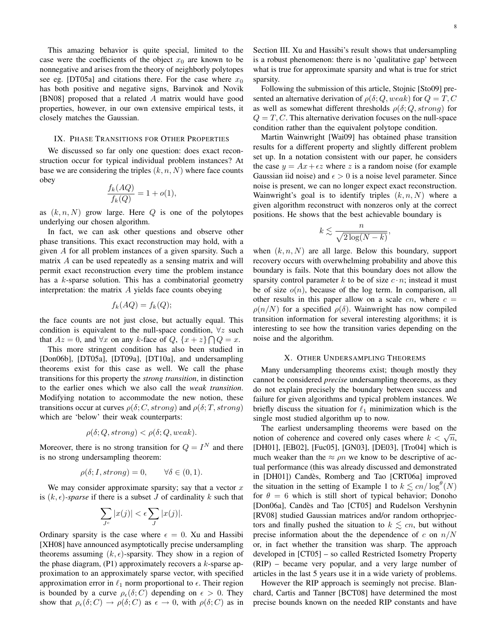This amazing behavior is quite special, limited to the case were the coefficients of the object  $x_0$  are known to be nonnegative and arises from the theory of neighborly polytopes see eg. [DT05a] and citations there. For the case where  $x_0$ has both positive and negative signs, Barvinok and Novik [BN08] proposed that a related A matrix would have good properties, however, in our own extensive empirical tests, it closely matches the Gaussian.

# IX. PHASE TRANSITIONS FOR OTHER PROPERTIES

We discussed so far only one question: does exact reconstruction occur for typical individual problem instances? At base we are considering the triples  $(k, n, N)$  where face counts obey

$$
\frac{f_k(AQ)}{f_k(Q)} = 1 + o(1),
$$

as  $(k, n, N)$  grow large. Here  $Q$  is one of the polytopes underlying our chosen algorithm.

In fact, we can ask other questions and observe other phase transitions. This exact reconstruction may hold, with a given A for all problem instances of a given sparsity. Such a matrix A can be used repeatedly as a sensing matrix and will permit exact reconstruction every time the problem instance has a k-sparse solution. This has a combinatorial geometry interpretation: the matrix  $A$  yields face counts obeying

$$
f_k(AQ) = f_k(Q);
$$

the face counts are not just close, but actually equal. This condition is equivalent to the null-space condition,  $\forall z$  such that  $Az = 0$ , and  $\forall x$  on any k-face of  $Q$ ,  $\{x + z\} \cap Q = x$ .

This more stringent condition has also been studied in [Don06b], [DT05a], [DT09a], [DT10a], and undersampling theorems exist for this case as well. We call the phase transitions for this property the *strong transition*, in distinction to the earlier ones which we also call the *weak transition*. Modifying notation to accommodate the new notion, these transitions occur at curves  $\rho(\delta; C, strong)$  and  $\rho(\delta; T, strong)$ which are 'below' their weak counterparts:

$$
\rho(\delta; Q, strong) < \rho(\delta; Q, weak).
$$

Moreover, there is no strong transition for  $Q = I^N$  and there is no strong undersampling theorem:

$$
\rho(\delta; I, strong) = 0, \qquad \forall \delta \in (0, 1).
$$

We may consider approximate sparsity; say that a vector  $x$ is  $(k, \epsilon)$ -sparse if there is a subset J of cardinality k such that

$$
\sum_{J^c} |x(j)| < \epsilon \sum_J |x(j)|.
$$

Ordinary sparsity is the case where  $\epsilon = 0$ . Xu and Hassibi [XH08] have announced asymptotically precise undersampling theorems assuming  $(k, \epsilon)$ -sparsity. They show in a region of the phase diagram,  $(P1)$  approximately recovers a k-sparse approximation to an approximately sparse vector, with specified approximation error in  $\ell_1$  norm proportional to  $\epsilon$ . Their region is bounded by a curve  $\rho_{\epsilon}(\delta; C)$  depending on  $\epsilon > 0$ . They show that  $\rho_{\epsilon}(\delta; C) \to \rho(\delta; C)$  as  $\epsilon \to 0$ , with  $\rho(\delta; C)$  as in Section III. Xu and Hassibi's result shows that undersampling is a robust phenomenon: there is no 'qualitative gap' between what is true for approximate sparsity and what is true for strict sparsity.

Following the submission of this article, Stojnic [Sto09] presented an alternative derivation of  $\rho(\delta; Q, weak)$  for  $Q = T, C$ as well as somewhat different thresholds  $\rho(\delta; Q, strong)$  for  $Q = T, C$ . This alternative derivation focuses on the null-space condition rather than the equivalent polytope condition.

Martin Wainwright [Wai09] has obtained phase transition results for a different property and slightly different problem set up. In a notation consistent with our paper, he considers the case  $y = Ax + \epsilon z$  where z is a random noise (for example Gaussian iid noise) and  $\epsilon > 0$  is a noise level parameter. Since noise is present, we can no longer expect exact reconstruction. Wainwright's goal is to identify triples  $(k, n, N)$  where a given algorithm reconstruct with nonzeros only at the correct positions. He shows that the best achievable boundary is

$$
k \lesssim \frac{n}{\sqrt{2\log(N-k)}},
$$

when  $(k, n, N)$  are all large. Below this boundary, support recovery occurs with overwhelming probability and above this boundary is fails. Note that this boundary does not allow the sparsity control parameter k to be of size  $c \cdot n$ ; instead it must be of size  $o(n)$ , because of the log term. In comparison, all other results in this paper allow on a scale  $cn$ , where  $c =$  $\rho(n/N)$  for a specified  $\rho(\delta)$ . Wainwright has now compiled transition information for several interesting algorithms; it is interesting to see how the transition varies depending on the noise and the algorithm.

#### X. OTHER UNDERSAMPLING THEOREMS

Many undersampling theorems exist; though mostly they cannot be considered *precise* undersampling theorems, as they do not explain precisely the boundary between success and failure for given algorithms and typical problem instances. We briefly discuss the situation for  $\ell_1$  minimization which is the single most studied algorithm up to now.

The earliest undersampling theorems were based on the The earnest undersampling theorems were based on the notion of coherence and covered only cases where  $k < \sqrt{n}$ , [DH01], [EB02], [Fuc05], [GN03], [DE03], [Tro04] which is much weaker than the  $\approx \rho n$  we know to be descriptive of actual performance (this was already discussed and demonstrated in [DH01]) Candès, Romberg and Tao [CRT06a] improved the situation in the setting of Example 1 to  $k \lesssim cn/\log^{\theta}(N)$ for  $\theta = 6$  which is still short of typical behavior; Donoho [Don06a], Candès and Tao [CT05] and Rudelson Vershynin [RV08] studied Gaussian matrices and/or random orthoprjectors and finally pushed the situation to  $k \lesssim cn$ , but without precise information about the the dependence of c on  $n/N$ or, in fact whether the transition was sharp. The approach developed in [CT05] – so called Restricted Isometry Property (RIP) – became very popular, and a very large number of articles in the last 5 years use it in a wide variety of problems.

However the RIP approach is seemingly not precise. Blanchard, Cartis and Tanner [BCT08] have determined the most precise bounds known on the needed RIP constants and have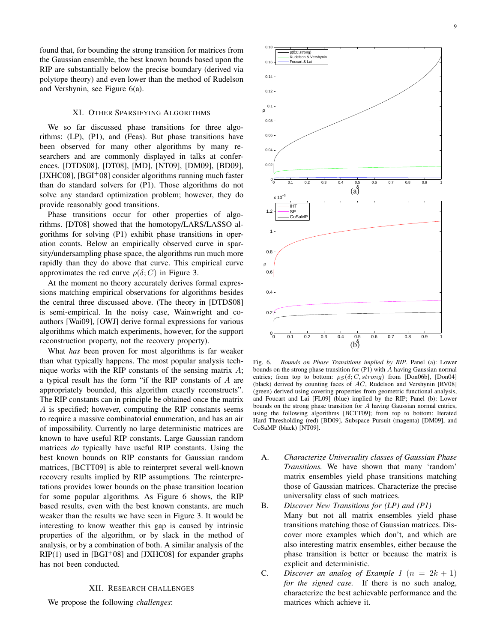found that, for bounding the strong transition for matrices from the Gaussian ensemble, the best known bounds based upon the RIP are substantially below the precise boundary (derived via polytope theory) and even lower than the method of Rudelson and Vershynin, see Figure 6(a).

#### XI. OTHER SPARSIFYING ALGORITHMS

We so far discussed phase transitions for three algorithms: (LP), (P1), and (Feas). But phase transitions have been observed for many other algorithms by many researchers and are commonly displayed in talks at conferences. [DTDS08], [DT08], [MD], [NT09], [DM09], [BD09], [JXHC08],  $[BGI<sup>+</sup>08]$  consider algorithms running much faster than do standard solvers for (P1). Those algorithms do not solve any standard optimization problem; however, they do provide reasonably good transitions.

Phase transitions occur for other properties of algorithms. [DT08] showed that the homotopy/LARS/LASSO algorithms for solving (P1) exhibit phase transitions in operation counts. Below an empirically observed curve in sparsity/undersampling phase space, the algorithms run much more rapidly than they do above that curve. This empirical curve approximates the red curve  $\rho(\delta; C)$  in Figure 3.

At the moment no theory accurately derives formal expressions matching empirical observations for algorithms besides the central three discussed above. (The theory in [DTDS08] is semi-empirical. In the noisy case, Wainwright and coauthors [Wai09], [OWJ] derive formal expressions for various algorithms which match experiments, however, for the support reconstruction property, not the recovery property).

What *has* been proven for most algorithms is far weaker than what typically happens. The most popular analysis technique works with the RIP constants of the sensing matrix  $A$ ; a typical result has the form "if the RIP constants of A are appropriately bounded, this algorithm exactly reconstructs". The RIP constants can in principle be obtained once the matrix A is specified; however, computing the RIP constants seems to require a massive combinatorial enumeration, and has an air of impossibility. Currently no large deterministic matrices are known to have useful RIP constants. Large Gaussian random matrices *do* typically have useful RIP constants. Using the best known bounds on RIP constants for Gaussian random matrices, [BCTT09] is able to reinterpret several well-known recovery results implied by RIP assumptions. The reinterpretations provides lower bounds on the phase transition location for some popular algorithms. As Figure 6 shows, the RIP based results, even with the best known constants, are much weaker than the results we have seen in Figure 3. It would be interesting to know weather this gap is caused by intrinsic properties of the algorithm, or by slack in the method of analysis, or by a combination of both. A similar analysis of the  $RIP(1)$  used in  $[BGI^+08]$  and  $[JXHC08]$  for expander graphs has not been conducted.

# XII. RESEARCH CHALLENGES

We propose the following *challenges*:



Fig. 6. *Bounds on Phase Transitions implied by RIP*. Panel (a): Lower bounds on the strong phase transition for (P1) with A having Gaussian normal entries; from top to bottom:  $\rho_S(\delta; C, strong)$  from [Don06b], [Don04] (black) derived by counting faces of AC, Rudelson and Vershynin [RV08] (green) derived using covering properties from geometric functional analysis, and Foucart and Lai [FL09] (blue) implied by the RIP; Panel (b): Lower bounds on the strong phase transition for A having Gaussian normal entries, using the following algorithms [BCTT09]; from top to bottom: Iterated Hard Thresholding (red) [BD09], Subspace Pursuit (magenta) [DM09], and CoSaMP (black) [NT09].

- A. *Characterize Universality classes of Gaussian Phase Transitions.* We have shown that many 'random' matrix ensembles yield phase transitions matching those of Gaussian matrices. Characterize the precise universality class of such matrices.
- B. *Discover New Transitions for (LP) and (P1)* Many but not all matrix ensembles yield phase transitions matching those of Gaussian matrices. Discover more examples which don't, and which are also interesting matrix ensembles, either because the phase transition is better or because the matrix is explicit and deterministic.
- C. *Discover an analog of Example 1*  $(n = 2k + 1)$ *for the signed case.* If there is no such analog, characterize the best achievable performance and the matrices which achieve it.